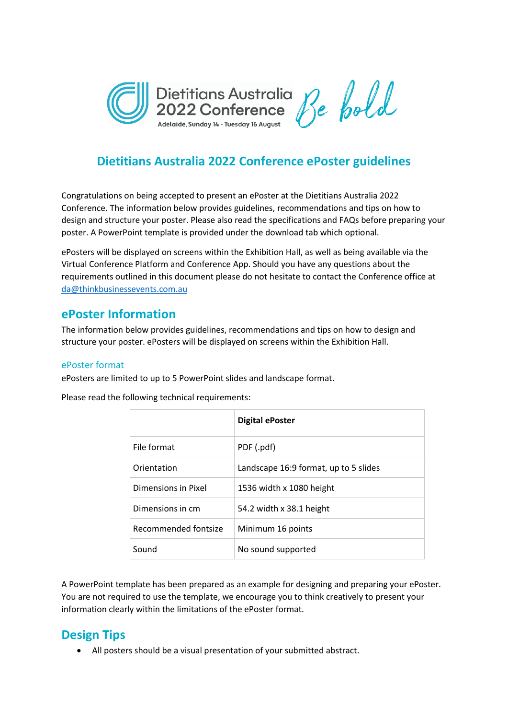

# **Dietitians Australia 2022 Conference ePoster guidelines**

Congratulations on being accepted to present an ePoster at the Dietitians Australia 2022 Conference. The information below provides guidelines, recommendations and tips on how to design and structure your poster. Please also read the specifications and FAQs before preparing your poster. A PowerPoint template is provided under the download tab which optional.

ePosters will be displayed on screens within the Exhibition Hall, as well as being available via the Virtual Conference Platform and Conference App. Should you have any questions about the requirements outlined in this document please do not hesitate to contact the Conference office at [da@thinkbusinessevents.com.au](mailto:da@thinkbusinessevents.com.au)

### **ePoster Information**

The information below provides guidelines, recommendations and tips on how to design and structure your poster. ePosters will be displayed on screens within the Exhibition Hall.

#### ePoster format

ePosters are limited to up to 5 PowerPoint slides and landscape format.

Please read the following technical requirements:

|                      | <b>Digital ePoster</b>                |
|----------------------|---------------------------------------|
| File format          | PDF (.pdf)                            |
| Orientation          | Landscape 16:9 format, up to 5 slides |
| Dimensions in Pixel  | 1536 width x 1080 height              |
| Dimensions in cm     | 54.2 width x 38.1 height              |
| Recommended fontsize | Minimum 16 points                     |
| Sound                | No sound supported                    |

A PowerPoint template has been prepared as an example for designing and preparing your ePoster. You are not required to use the template, we encourage you to think creatively to present your information clearly within the limitations of the ePoster format.

## **Design Tips**

• All posters should be a visual presentation of your submitted abstract.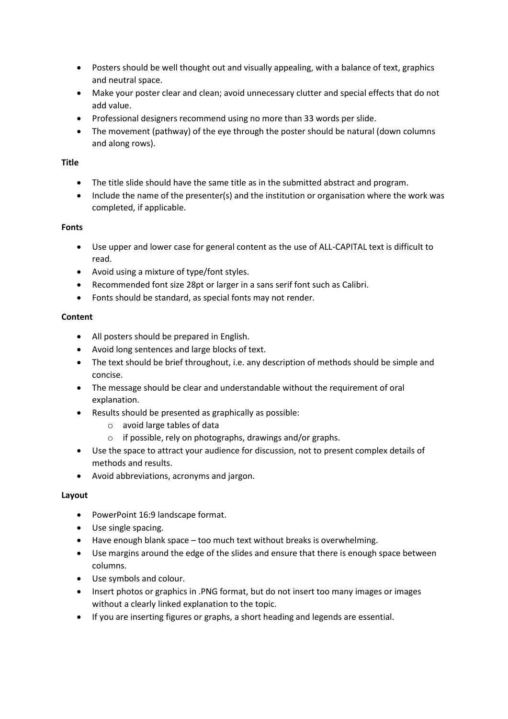- Posters should be well thought out and visually appealing, with a balance of text, graphics and neutral space.
- Make your poster clear and clean; avoid unnecessary clutter and special effects that do not add value.
- Professional designers recommend using no more than 33 words per slide.
- The movement (pathway) of the eye through the poster should be natural (down columns and along rows).

#### **Title**

- The title slide should have the same title as in the submitted abstract and program.
- Include the name of the presenter(s) and the institution or organisation where the work was completed, if applicable.

#### **Fonts**

- Use upper and lower case for general content as the use of ALL-CAPITAL text is difficult to read.
- Avoid using a mixture of type/font styles.
- Recommended font size 28pt or larger in a sans serif font such as Calibri.
- Fonts should be standard, as special fonts may not render.

#### **Content**

- All posters should be prepared in English.
- Avoid long sentences and large blocks of text.
- The text should be brief throughout, i.e. any description of methods should be simple and concise.
- The message should be clear and understandable without the requirement of oral explanation.
- Results should be presented as graphically as possible:
	- o avoid large tables of data
	- o if possible, rely on photographs, drawings and/or graphs.
- Use the space to attract your audience for discussion, not to present complex details of methods and results.
- Avoid abbreviations, acronyms and jargon.

### **Layout**

- PowerPoint 16:9 landscape format.
- Use single spacing.
- Have enough blank space too much text without breaks is overwhelming.
- Use margins around the edge of the slides and ensure that there is enough space between columns.
- Use symbols and colour.
- Insert photos or graphics in .PNG format, but do not insert too many images or images without a clearly linked explanation to the topic.
- If you are inserting figures or graphs, a short heading and legends are essential.